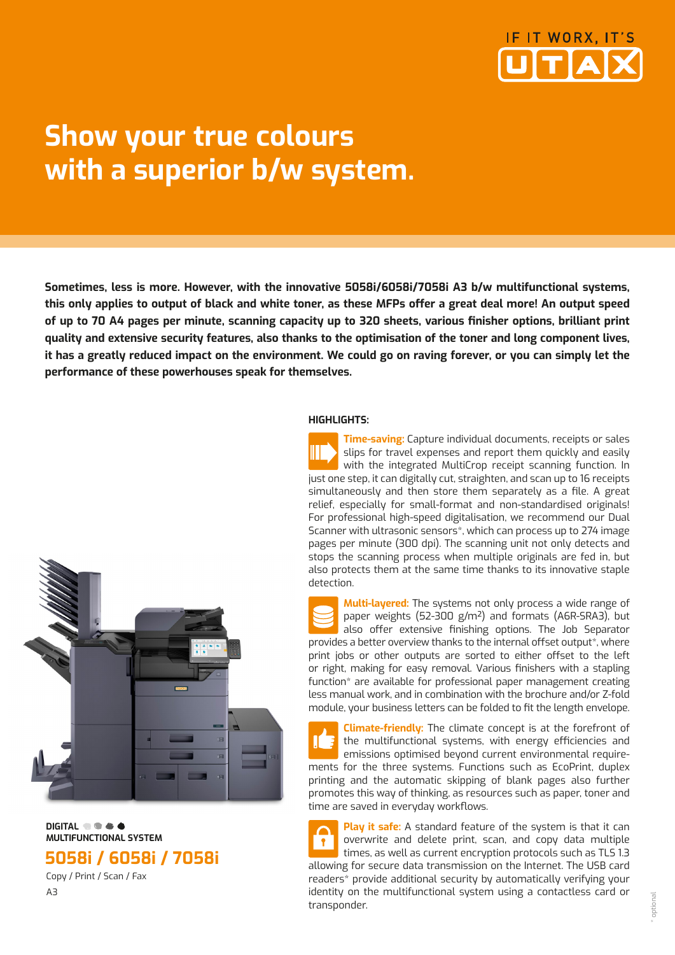

# **Show your true colours with a superior b/w system.**

**Sometimes, less is more. However, with the innovative 5058i/6058i/7058i A3 b/w multifunctional systems, this only applies to output of black and white toner, as these MFPs offer a great deal more! An output speed of up to 70 A4 pages per minute, scanning capacity up to 320 sheets, various finisher options, brilliant print quality and extensive security features, also thanks to the optimisation of the toner and long component lives, it has a greatly reduced impact on the environment. We could go on raving forever, or you can simply let the performance of these powerhouses speak for themselves.**

### **HIGHLIGHTS:**

slips for travel expenses and report them quickly and easily with the integrated MultiCrop receipt scanning function. In just one step, it can digitally cut, straighten, and scan up to 16 receipts simultaneously and then store them separately as a file. A great relief, especially for small-format and non-standardised originals! For professional high-speed digitalisation, we recommend our Dual Scanner with ultrasonic sensors\*, which can process up to 274 image pages per minute (300 dpi). The scanning unit not only detects and stops the scanning process when multiple originals are fed in, but also protects them at the same time thanks to its innovative staple detection.

**Time-saving:** Capture individual documents, receipts or sales

**Multi-layered:** The systems not only process a wide range of paper weights (52-300 g/m²) and formats (A6R-SRA3), but also offer extensive finishing options. The Job Separator provides a better overview thanks to the internal offset output\*, where print jobs or other outputs are sorted to either offset to the left or right, making for easy removal. Various finishers with a stapling function\* are available for professional paper management creating less manual work, and in combination with the brochure and/or Z-fold module, your business letters can be folded to fit the length envelope.

**Climate-friendly:** The climate concept is at the forefront of the multifunctional systems, with energy efficiencies and emissions optimised beyond current environmental requirements for the three systems. Functions such as EcoPrint, duplex printing and the automatic skipping of blank pages also further promotes this way of thinking, as resources such as paper, toner and time are saved in everyday workflows.

**Play it safe:** A standard feature of the system is that it can overwrite and delete print, scan, and copy data multiple times, as well as current encryption protocols such as TLS 1.3 allowing for secure data transmission on the Internet. The USB card readers\* provide additional security by automatically verifying your identity on the multifunctional system using a contactless card or transponder.



 **DIGITAL MULTIFUNCTIONAL SYSTEM** 

**5058i / 6058i / 7058i**

 Copy / Print / Scan / Fax A3